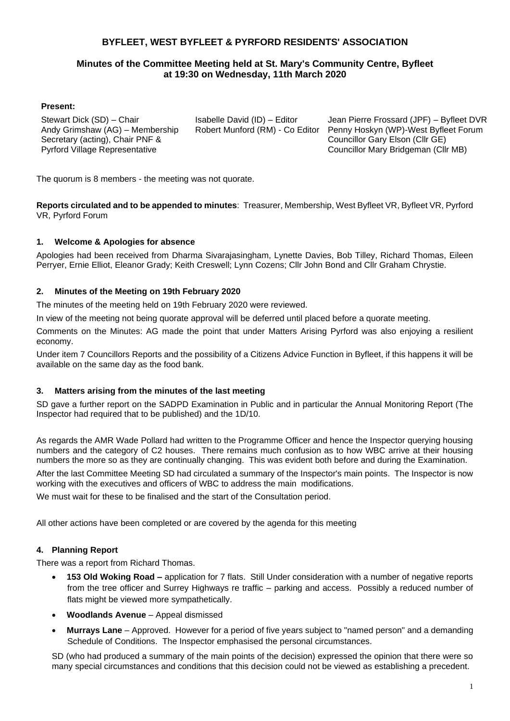# **BYFLEET, WEST BYFLEET & PYRFORD RESIDENTS' ASSOCIATION**

# **Minutes of the Committee Meeting held at St. Mary's Community Centre, Byfleet at 19:30 on Wednesday, 11th March 2020**

#### **Present:**

Stewart Dick (SD) – Chair Andy Grimshaw (AG) – Membership Secretary (acting), Chair PNF & Pyrford Village Representative

Isabelle David (ID) – Editor Robert Munford (RM) - Co Editor

Jean Pierre Frossard (JPF) – Byfleet DVR Penny Hoskyn (WP)-West Byfleet Forum Councillor Gary Elson (Cllr GE) Councillor Mary Bridgeman (Cllr MB)

The quorum is 8 members - the meeting was not quorate.

**Reports circulated and to be appended to minutes**: Treasurer, Membership, West Byfleet VR, Byfleet VR, Pyrford VR, Pyrford Forum

#### **1. Welcome & Apologies for absence**

Apologies had been received from Dharma Sivarajasingham, Lynette Davies, Bob Tilley, Richard Thomas, Eileen Perryer, Ernie Elliot, Eleanor Grady; Keith Creswell; Lynn Cozens; Cllr John Bond and Cllr Graham Chrystie.

#### **2. Minutes of the Meeting on 19th February 2020**

The minutes of the meeting held on 19th February 2020 were reviewed.

In view of the meeting not being quorate approval will be deferred until placed before a quorate meeting.

Comments on the Minutes: AG made the point that under Matters Arising Pyrford was also enjoying a resilient economy.

Under item 7 Councillors Reports and the possibility of a Citizens Advice Function in Byfleet, if this happens it will be available on the same day as the food bank.

#### **3. Matters arising from the minutes of the last meeting**

SD gave a further report on the SADPD Examination in Public and in particular the Annual Monitoring Report (The Inspector had required that to be published) and the 1D/10.

As regards the AMR Wade Pollard had written to the Programme Officer and hence the Inspector querying housing numbers and the category of C2 houses. There remains much confusion as to how WBC arrive at their housing numbers the more so as they are continually changing. This was evident both before and during the Examination.

After the last Committee Meeting SD had circulated a summary of the Inspector's main points. The Inspector is now working with the executives and officers of WBC to address the main modifications.

We must wait for these to be finalised and the start of the Consultation period.

All other actions have been completed or are covered by the agenda for this meeting

#### **4. Planning Report**

There was a report from Richard Thomas.

- **153 Old Woking Road –** application for 7 flats. Still Under consideration with a number of negative reports from the tree officer and Surrey Highways re traffic – parking and access. Possibly a reduced number of flats might be viewed more sympathetically.
- **Woodlands Avenue**  Appeal dismissed
- **Murrays Lane**  Approved. However for a period of five years subject to "named person" and a demanding Schedule of Conditions. The Inspector emphasised the personal circumstances.

SD (who had produced a summary of the main points of the decision) expressed the opinion that there were so many special circumstances and conditions that this decision could not be viewed as establishing a precedent.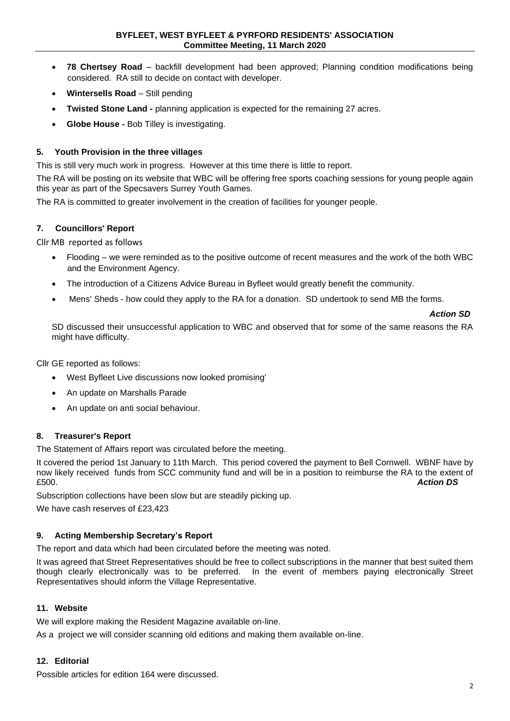- **78 Chertsey Road**  backfill development had been approved; Planning condition modifications being considered. RA still to decide on contact with developer.
- **Wintersells Road** Still pending
- **Twisted Stone Land -** planning application is expected for the remaining 27 acres.
- **Globe House -** Bob Tilley is investigating.

#### **5. Youth Provision in the three villages**

This is still very much work in progress. However at this time there is little to report.

The RA will be posting on its website that WBC will be offering free sports coaching sessions for young people again this year as part of the Specsavers Surrey Youth Games.

The RA is committed to greater involvement in the creation of facilities for younger people.

#### **7. Councillors' Report**

Cllr MB reported as follows

- Flooding we were reminded as to the positive outcome of recent measures and the work of the both WBC and the Environment Agency.
- The introduction of a Citizens Advice Bureau in Byfleet would greatly benefit the community.
- Mens' Sheds how could they apply to the RA for a donation. SD undertook to send MB the forms.

#### *Action SD*

SD discussed their unsuccessful application to WBC and observed that for some of the same reasons the RA might have difficulty.

Cllr GE reported as follows:

- West Byfleet Live discussions now looked promising'
- An update on Marshalls Parade
- An update on anti social behaviour.

#### **8. Treasurer's Report**

The Statement of Affairs report was circulated before the meeting.

It covered the period 1st January to 11th March. This period covered the payment to Bell Cornwell. WBNF have by now likely received funds from SCC community fund and will be in a position to reimburse the RA to the extent of £500. £500. *Action DS*

Subscription collections have been slow but are steadily picking up.

We have cash reserves of £23,423

# **9. Acting Membership Secretary's Report**

The report and data which had been circulated before the meeting was noted.

It was agreed that Street Representatives should be free to collect subscriptions in the manner that best suited them though clearly electronically was to be preferred. In the event of members paying electronically Street Representatives should inform the Village Representative.

#### **11. Website**

We will explore making the Resident Magazine available on-line.

As a project we will consider scanning old editions and making them available on-line.

#### **12. Editorial**

Possible articles for edition 164 were discussed.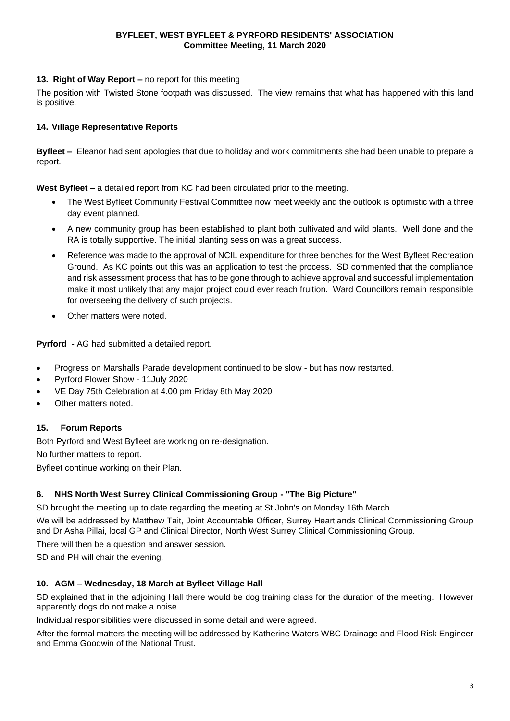#### **13. Right of Way Report –** no report for this meeting

The position with Twisted Stone footpath was discussed. The view remains that what has happened with this land is positive.

#### **14. Village Representative Reports**

**Byfleet –** Eleanor had sent apologies that due to holiday and work commitments she had been unable to prepare a report.

**West Byfleet** – a detailed report from KC had been circulated prior to the meeting.

- The West Byfleet Community Festival Committee now meet weekly and the outlook is optimistic with a three day event planned.
- A new community group has been established to plant both cultivated and wild plants. Well done and the RA is totally supportive. The initial planting session was a great success.
- Reference was made to the approval of NCIL expenditure for three benches for the West Byfleet Recreation Ground. As KC points out this was an application to test the process. SD commented that the compliance and risk assessment process that has to be gone through to achieve approval and successful implementation make it most unlikely that any major project could ever reach fruition. Ward Councillors remain responsible for overseeing the delivery of such projects.
- Other matters were noted.

**Pyrford** - AG had submitted a detailed report.

- Progress on Marshalls Parade development continued to be slow but has now restarted.
- Pyrford Flower Show 11July 2020
- VE Day 75th Celebration at 4.00 pm Friday 8th May 2020
- Other matters noted.

# **15. Forum Reports**

Both Pyrford and West Byfleet are working on re-designation.

No further matters to report.

Byfleet continue working on their Plan.

#### **6. NHS North West Surrey Clinical Commissioning Group - "The Big Picture"**

SD brought the meeting up to date regarding the meeting at St John's on Monday 16th March.

We will be addressed by Matthew Tait, Joint Accountable Officer, Surrey Heartlands Clinical Commissioning Group and Dr Asha Pillai, local GP and Clinical Director, North West Surrey Clinical Commissioning Group.

There will then be a question and answer session.

SD and PH will chair the evening.

#### **10. AGM – Wednesday, 18 March at Byfleet Village Hall**

SD explained that in the adjoining Hall there would be dog training class for the duration of the meeting. However apparently dogs do not make a noise.

Individual responsibilities were discussed in some detail and were agreed.

After the formal matters the meeting will be addressed by Katherine Waters WBC Drainage and Flood Risk Engineer and Emma Goodwin of the National Trust.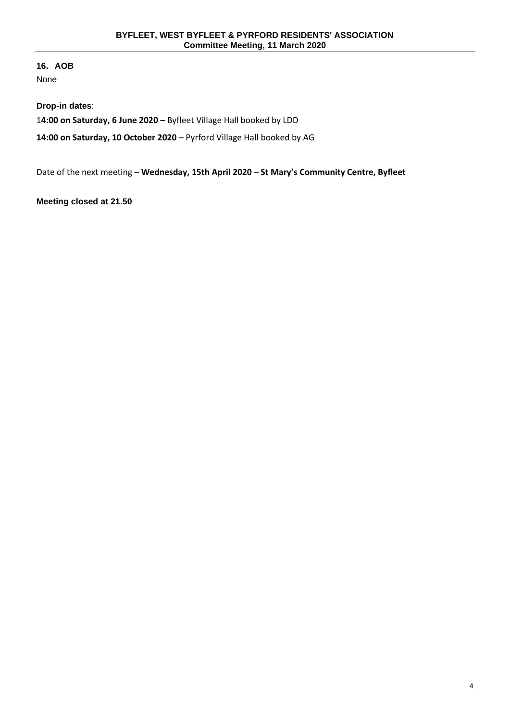**16. AOB** None

**Drop-in dates**: 1**4:00 on Saturday, 6 June 2020 –** Byfleet Village Hall booked by LDD

**14:00 on Saturday, 10 October 2020** – Pyrford Village Hall booked by AG

Date of the next meeting – **Wednesday, 15th April 2020** – **St Mary's Community Centre, Byfleet**

**Meeting closed at 21.50**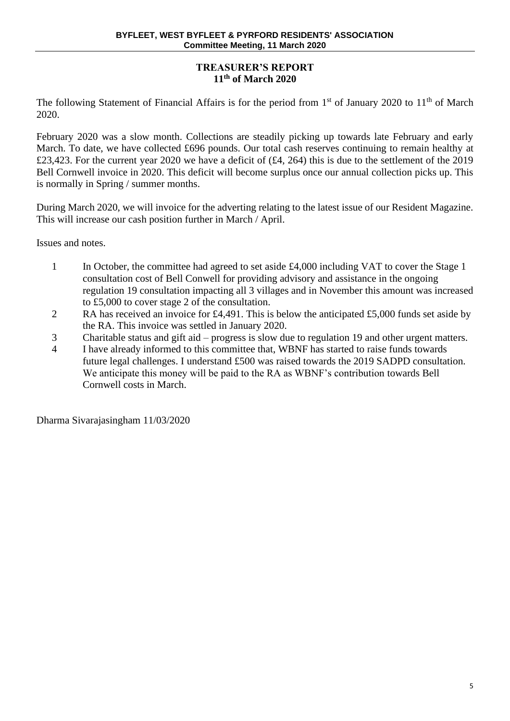# **TREASURER'S REPORT 11th of March 2020**

The following Statement of Financial Affairs is for the period from  $1<sup>st</sup>$  of January 2020 to  $11<sup>th</sup>$  of March 2020.

February 2020 was a slow month. Collections are steadily picking up towards late February and early March. To date, we have collected £696 pounds. Our total cash reserves continuing to remain healthy at £23,423. For the current year 2020 we have a deficit of (£4, 264) this is due to the settlement of the 2019 Bell Cornwell invoice in 2020. This deficit will become surplus once our annual collection picks up. This is normally in Spring / summer months.

During March 2020, we will invoice for the adverting relating to the latest issue of our Resident Magazine. This will increase our cash position further in March / April.

Issues and notes.

- 1 In October, the committee had agreed to set aside £4,000 including VAT to cover the Stage 1 consultation cost of Bell Conwell for providing advisory and assistance in the ongoing regulation 19 consultation impacting all 3 villages and in November this amount was increased to £5,000 to cover stage 2 of the consultation.
- 2 RA has received an invoice for £4,491. This is below the anticipated £5,000 funds set aside by the RA. This invoice was settled in January 2020.
- 3 Charitable status and gift aid progress is slow due to regulation 19 and other urgent matters.
- 4 I have already informed to this committee that, WBNF has started to raise funds towards future legal challenges. I understand £500 was raised towards the 2019 SADPD consultation. We anticipate this money will be paid to the RA as WBNF's contribution towards Bell Cornwell costs in March.

Dharma Sivarajasingham 11/03/2020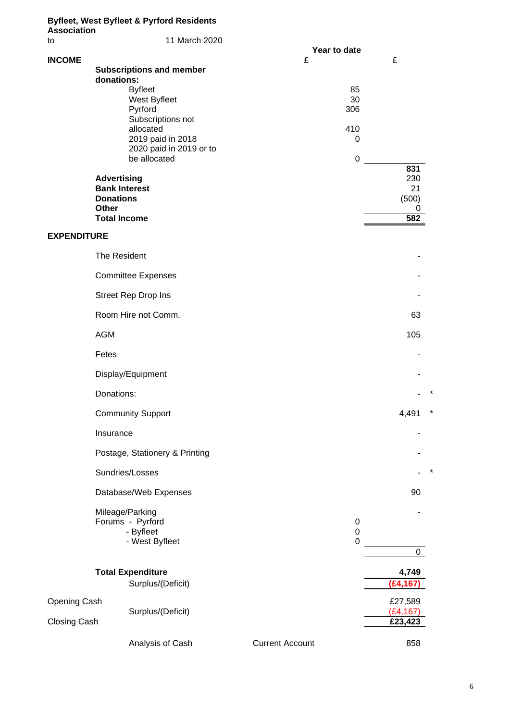| <b>Association</b> | <b>Byfleet, West Byfleet &amp; Pyrford Residents</b> |                        |                      |
|--------------------|------------------------------------------------------|------------------------|----------------------|
| to                 | 11 March 2020                                        |                        |                      |
| <b>INCOME</b>      |                                                      | Year to date<br>£      | £                    |
|                    | <b>Subscriptions and member</b><br>donations:        |                        |                      |
|                    | <b>Byfleet</b>                                       | 85                     |                      |
|                    | West Byfleet<br>Pyrford                              | 30<br>306              |                      |
|                    | Subscriptions not<br>allocated                       | 410                    |                      |
|                    | 2019 paid in 2018                                    | 0                      |                      |
|                    | 2020 paid in 2019 or to<br>be allocated              | $\pmb{0}$              |                      |
|                    | <b>Advertising</b>                                   |                        | 831<br>230           |
|                    | <b>Bank Interest</b>                                 |                        | 21                   |
|                    | <b>Donations</b><br>Other                            |                        | (500)<br>0           |
|                    | <b>Total Income</b>                                  |                        | 582                  |
| <b>EXPENDITURE</b> |                                                      |                        |                      |
|                    | The Resident                                         |                        |                      |
|                    | <b>Committee Expenses</b>                            |                        |                      |
|                    | Street Rep Drop Ins                                  |                        |                      |
|                    | Room Hire not Comm.                                  |                        | 63                   |
|                    | <b>AGM</b>                                           |                        | 105                  |
|                    | Fetes                                                |                        |                      |
|                    | Display/Equipment                                    |                        |                      |
|                    | Donations:                                           |                        | ×                    |
|                    | <b>Community Support</b>                             |                        | ×<br>4,491           |
|                    | Insurance                                            |                        |                      |
|                    | Postage, Stationery & Printing                       |                        |                      |
|                    | Sundries/Losses                                      |                        |                      |
|                    | Database/Web Expenses                                |                        | 90                   |
|                    | Mileage/Parking                                      |                        |                      |
|                    | Forums - Pyrford<br>- Byfleet                        | 0<br>$\boldsymbol{0}$  |                      |
|                    | - West Byfleet                                       | $\mathbf 0$            | 0                    |
|                    | <b>Total Expenditure</b>                             |                        | 4,749                |
|                    | Surplus/(Deficit)                                    |                        | (£4,167              |
| Opening Cash       | Surplus/(Deficit)                                    |                        | £27,589<br>(E4, 167) |
| Closing Cash       |                                                      |                        | £23,423              |
|                    | Analysis of Cash                                     | <b>Current Account</b> | 858                  |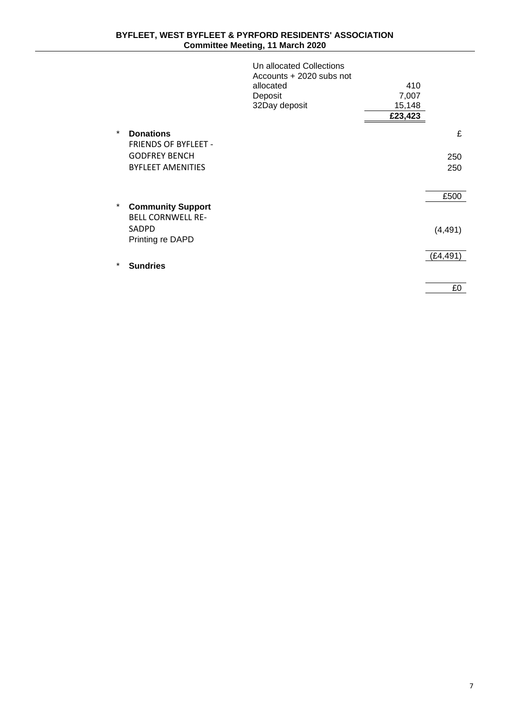|        |                             | Un allocated Collections<br>Accounts + 2020 subs not |         |          |
|--------|-----------------------------|------------------------------------------------------|---------|----------|
|        |                             | allocated                                            | 410     |          |
|        |                             | Deposit                                              | 7,007   |          |
|        |                             | 32Day deposit                                        | 15,148  |          |
|        |                             |                                                      | £23,423 |          |
| $\ast$ | <b>Donations</b>            |                                                      |         | £        |
|        | <b>FRIENDS OF BYFLEET -</b> |                                                      |         |          |
|        | <b>GODFREY BENCH</b>        |                                                      |         | 250      |
|        | <b>BYFLEET AMENITIES</b>    |                                                      |         | 250      |
|        |                             |                                                      |         |          |
|        |                             |                                                      |         | £500     |
| *      | <b>Community Support</b>    |                                                      |         |          |
|        | <b>BELL CORNWELL RE-</b>    |                                                      |         |          |
|        | SADPD                       |                                                      |         | (4, 491) |
|        | Printing re DAPD            |                                                      |         |          |
|        |                             |                                                      |         | (£4,491) |
| $\ast$ | <b>Sundries</b>             |                                                      |         |          |
|        |                             |                                                      |         |          |
|        |                             |                                                      |         | £0       |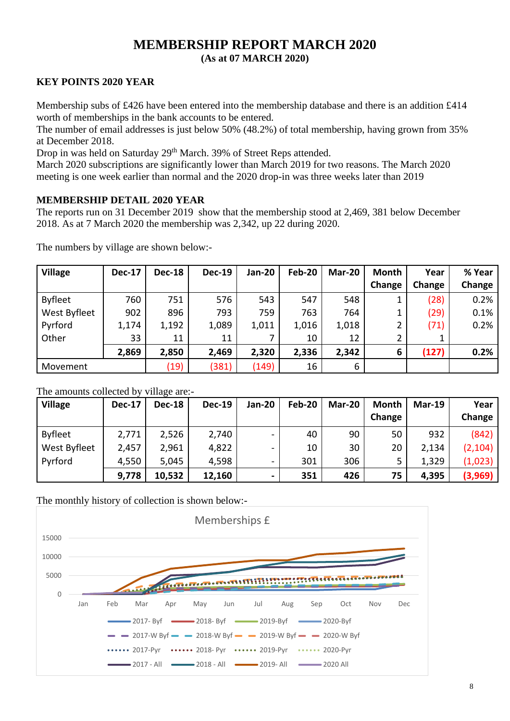# **MEMBERSHIP REPORT MARCH 2020 (As at 07 MARCH 2020)**

# **KEY POINTS 2020 YEAR**

Membership subs of £426 have been entered into the membership database and there is an addition £414 worth of memberships in the bank accounts to be entered.

The number of email addresses is just below 50% (48.2%) of total membership, having grown from 35% at December 2018.

Drop in was held on Saturday 29<sup>th</sup> March. 39% of Street Reps attended.

March 2020 subscriptions are significantly lower than March 2019 for two reasons. The March 2020 meeting is one week earlier than normal and the 2020 drop-in was three weeks later than 2019

# **MEMBERSHIP DETAIL 2020 YEAR**

The reports run on 31 December 2019 show that the membership stood at 2,469, 381 below December 2018. As at 7 March 2020 the membership was 2,342, up 22 during 2020.

| <b>Village</b> | <b>Dec-17</b> | <b>Dec-18</b> | <b>Dec-19</b> | <b>Jan-20</b> | <b>Feb-20</b> | Mar-20 | <b>Month</b> | Year   | % Year |
|----------------|---------------|---------------|---------------|---------------|---------------|--------|--------------|--------|--------|
|                |               |               |               |               |               |        | Change       | Change | Change |
| <b>Byfleet</b> | 760           | 751           | 576           | 543           | 547           | 548    |              | (28)   | 0.2%   |
| West Byfleet   | 902           | 896           | 793           | 759           | 763           | 764    |              | (29)   | 0.1%   |
| Pyrford        | 1,174         | 1,192         | 1,089         | 1,011         | 1,016         | 1,018  |              | (71)   | 0.2%   |
| Other          | 33            | 11            | 11            |               | 10            | 12     |              |        |        |
|                | 2,869         | 2,850         | 2,469         | 2,320         | 2,336         | 2,342  | 6            | (127)  | 0.2%   |
| Movement       |               | (19)          | (381)         | (149)         | 16            | 6      |              |        |        |

The numbers by village are shown below:-

# The amounts collected by village are:-

| <b>Village</b> | <b>Dec-17</b> | <b>Dec-18</b> | <b>Dec-19</b> | <b>Jan-20</b>            | Feb-20 | Mar-20 | Month<br>Change | <b>Mar-19</b> | Year<br>Change |
|----------------|---------------|---------------|---------------|--------------------------|--------|--------|-----------------|---------------|----------------|
| <b>Byfleet</b> | 2,771         | 2,526         | 2,740         | $\overline{\phantom{0}}$ | 40     | 90     | 50              | 932           | (842)          |
| West Byfleet   | 2,457         | 2,961         | 4,822         | -                        | 10     | 30     | 20              | 2,134         | (2, 104)       |
| Pyrford        | 4,550         | 5,045         | 4,598         | Ξ.                       | 301    | 306    |                 | 1,329         | (1,023)        |
|                | 9,778         | 10,532        | 12,160        |                          | 351    | 426    | 75              | 4,395         | (3,969)        |

The monthly history of collection is shown below:-

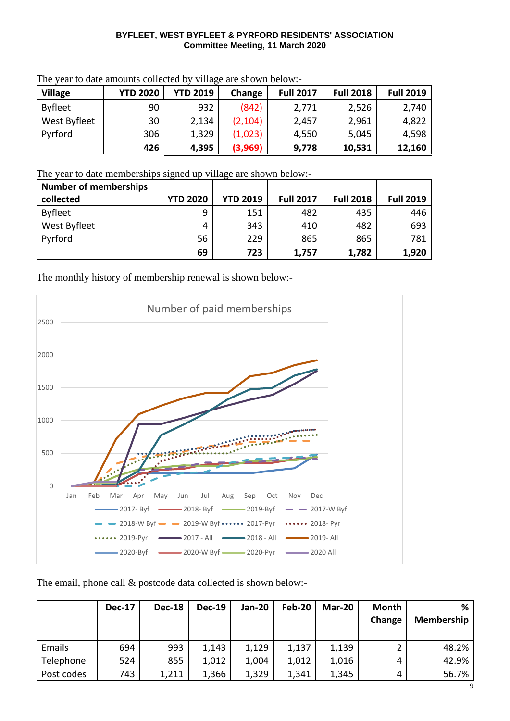| <b>Village</b> | <b>YTD 2020</b> | <b>YTD 2019</b> | Change   | <b>Full 2017</b> | <b>Full 2018</b> | <b>Full 2019</b> |
|----------------|-----------------|-----------------|----------|------------------|------------------|------------------|
| <b>Byfleet</b> | 90              | 932             | (842)    | 2,771            | 2,526            | 2,740            |
| West Byfleet   | 30              | 2,134           | (2, 104) | 2,457            | 2,961            | 4,822            |
| Pyrford        | 306             | 1,329           | (1,023)  | 4,550            | 5,045            | 4,598            |
|                | 426             | 4,395           | (3,969)  | 9,778            | 10,531           | 12,160           |

The year to date amounts collected by village are shown below:-

The year to date memberships signed up village are shown below:-

| <b>Number of memberships</b> |                 |                 |                  |                  |                  |
|------------------------------|-----------------|-----------------|------------------|------------------|------------------|
| collected                    | <b>YTD 2020</b> | <b>YTD 2019</b> | <b>Full 2017</b> | <b>Full 2018</b> | <b>Full 2019</b> |
| <b>Byfleet</b>               | 9               | 151             | 482              | 435              | 446              |
| West Byfleet                 | 4               | 343             | 410              | 482              | 693              |
| Pyrford                      | 56              | 229             | 865              | 865              | 781              |
|                              | 69              | 723             | 1,757            | 1,782            | 1,920            |

The monthly history of membership renewal is shown below:-



The email, phone call & postcode data collected is shown below:-

|            | <b>Dec-17</b> | <b>Dec-18</b> | $Dec-19$ | <b>Jan-20</b> | Feb-20 | Mar-20 | Month<br>Change | ℅<br><b>Membership</b> |
|------------|---------------|---------------|----------|---------------|--------|--------|-----------------|------------------------|
| Emails     | 694           | 993           | 1,143    | 1,129         | 1,137  | 1,139  | 2               | 48.2%                  |
| Telephone  | 524           | 855           | 1,012    | 1,004         | 1,012  | 1,016  | 4               | 42.9%                  |
| Post codes | 743           | 1,211         | 1,366    | 1,329         | 1,341  | 1,345  | 4               | 56.7%                  |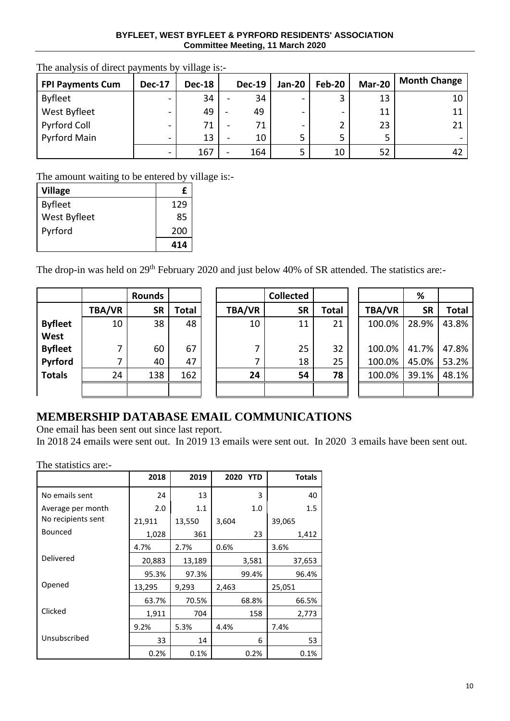#### **BYFLEET, WEST BYFLEET & PYRFORD RESIDENTS' ASSOCIATION Committee Meeting, 11 March 2020**

| <b>FPI Payments Cum</b> | <b>Dec-17</b>            | <b>Dec-18</b> | <b>Dec-19</b> | Jan-20                   | Feb-20 | Mar-20 | <b>Month Change</b> |
|-------------------------|--------------------------|---------------|---------------|--------------------------|--------|--------|---------------------|
| <b>Byfleet</b>          | $\overline{\phantom{0}}$ | 34            | 34            | $\overline{\phantom{0}}$ |        | 13     | 10                  |
| West Byfleet            | $\overline{\phantom{0}}$ | 49            | 49            | -                        | -      | 11     |                     |
| Pyrford Coll            | $\overline{\phantom{0}}$ | 71            | 71            | $\overline{\phantom{0}}$ |        | 23     |                     |
| <b>Pyrford Main</b>     | $\overline{\phantom{0}}$ | 13            | 10            | 5                        |        |        |                     |
|                         | $\overline{\phantom{0}}$ | 167           | 164           | 5                        | 10     | 52     | 42                  |

The analysis of direct payments by village is:-

The amount waiting to be entered by village is:-

| <b>Village</b> | £   |
|----------------|-----|
| <b>Byfleet</b> | 129 |
| West Byfleet   | 85  |
| Pyrford        | 200 |
|                | 414 |

The drop-in was held on 29<sup>th</sup> February 2020 and just below 40% of SR attended. The statistics are:-

|                |               | <b>Rounds</b> |       |               | <b>Collected</b> |       |               | %         |       |
|----------------|---------------|---------------|-------|---------------|------------------|-------|---------------|-----------|-------|
|                | <b>TBA/VR</b> | <b>SR</b>     | Total | <b>TBA/VR</b> | <b>SR</b>        | Total | <b>TBA/VR</b> | <b>SR</b> | Total |
| <b>Byfleet</b> | 10            | 38            | 48    | 10            | 11               | 21    | 100.0%        | 28.9%     | 43.8% |
| West           |               |               |       |               |                  |       |               |           |       |
| <b>Byfleet</b> | ┓             | 60            | 67    | 7             | 25               | 32    | 100.0%        | 41.7%     | 47.8% |
| Pyrford        | 7             | 40            | 47    | 7             | 18               | 25    | 100.0%        | 45.0%     | 53.2% |
| <b>Totals</b>  | 24            | 138           | 162   | 24            | 54               | 78    | 100.0%        | 39.1%     | 48.1% |
|                |               |               |       |               |                  |       |               |           |       |

|               | Rounds    |       |        | <b>Collected</b> |              |               | %         |              |
|---------------|-----------|-------|--------|------------------|--------------|---------------|-----------|--------------|
| <b>TBA/VR</b> | <b>SR</b> | Total | TBA/VR | <b>SR</b>        | <b>Total</b> | <b>TBA/VR</b> | <b>SR</b> | <b>Total</b> |
| 10            | 38        | 48    | 10     | 11               | 21           | 100.0%        | 28.9%     | 43.8%        |
|               |           |       |        |                  |              |               |           |              |
| 7             | 60        | 67    | 7      | 25               | 32           | 100.0%        | 41.7%     | 47.8%        |
| 7             | 40        | 47    |        | 18               | 25           | 100.0%        | 45.0%     | 53.2%        |
| 24            | 138       | 162   | 24     | 54               | 78           | 100.0%        | 39.1%     | 48.1%        |
|               |           |       |        |                  |              |               |           |              |

|               | ℅     |              |
|---------------|-------|--------------|
| <b>TBA/VR</b> | SR    | <b>Total</b> |
| 100.0%        | 28.9% | 43.8%        |
| 100.0%        | 41.7% | 47.8%        |
| 100.0%        | 45.0% | 53.2%        |
| 100.0%        | 39.1% | 48.1%        |
|               |       |              |

# **MEMBERSHIP DATABASE EMAIL COMMUNICATIONS**

One email has been sent out since last report.

In 2018 24 emails were sent out. In 2019 13 emails were sent out. In 2020 3 emails have been sent out.

The statistics are:-

|                    | 2018   | 2019   | 2020 YTD | <b>Totals</b> |
|--------------------|--------|--------|----------|---------------|
| No emails sent     | 24     | 13     | 3        | 40            |
| Average per month  | 2.0    | 1.1    | 1.0      | 1.5           |
| No recipients sent | 21,911 | 13,550 | 3,604    | 39,065        |
| <b>Bounced</b>     | 1,028  | 361    | 23       | 1,412         |
|                    | 4.7%   | 2.7%   | 0.6%     | 3.6%          |
| Delivered          | 20,883 | 13,189 | 3,581    | 37,653        |
|                    | 95.3%  | 97.3%  | 99.4%    | 96.4%         |
| Opened             | 13,295 | 9,293  | 2,463    | 25,051        |
|                    | 63.7%  | 70.5%  | 68.8%    | 66.5%         |
| Clicked            | 1,911  | 704    | 158      | 2,773         |
|                    | 9.2%   | 5.3%   | 4.4%     | 7.4%          |
| Unsubscribed       | 33     | 14     | 6        | 53            |
|                    | 0.2%   | 0.1%   | $0.2\%$  | 0.1%          |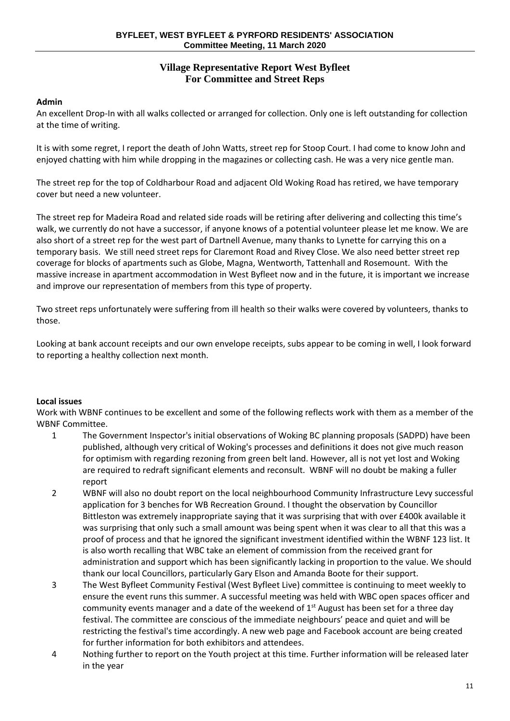# **Village Representative Report West Byfleet For Committee and Street Reps**

# **Admin**

An excellent Drop-In with all walks collected or arranged for collection. Only one is left outstanding for collection at the time of writing.

It is with some regret, I report the death of John Watts, street rep for Stoop Court. I had come to know John and enjoyed chatting with him while dropping in the magazines or collecting cash. He was a very nice gentle man.

The street rep for the top of Coldharbour Road and adjacent Old Woking Road has retired, we have temporary cover but need a new volunteer.

The street rep for Madeira Road and related side roads will be retiring after delivering and collecting this time's walk, we currently do not have a successor, if anyone knows of a potential volunteer please let me know. We are also short of a street rep for the west part of Dartnell Avenue, many thanks to Lynette for carrying this on a temporary basis. We still need street reps for Claremont Road and Rivey Close. We also need better street rep coverage for blocks of apartments such as Globe, Magna, Wentworth, Tattenhall and Rosemount. With the massive increase in apartment accommodation in West Byfleet now and in the future, it is important we increase and improve our representation of members from this type of property.

Two street reps unfortunately were suffering from ill health so their walks were covered by volunteers, thanks to those.

Looking at bank account receipts and our own envelope receipts, subs appear to be coming in well, I look forward to reporting a healthy collection next month.

# **Local issues**

Work with WBNF continues to be excellent and some of the following reflects work with them as a member of the WBNF Committee.

- 1 The Government Inspector's initial observations of Woking BC planning proposals (SADPD) have been published, although very critical of Woking's processes and definitions it does not give much reason for optimism with regarding rezoning from green belt land. However, all is not yet lost and Woking are required to redraft significant elements and reconsult. WBNF will no doubt be making a fuller report
- 2 WBNF will also no doubt report on the local neighbourhood Community Infrastructure Levy successful application for 3 benches for WB Recreation Ground. I thought the observation by Councillor Bittleston was extremely inappropriate saying that it was surprising that with over £400k available it was surprising that only such a small amount was being spent when it was clear to all that this was a proof of process and that he ignored the significant investment identified within the WBNF 123 list. It is also worth recalling that WBC take an element of commission from the received grant for administration and support which has been significantly lacking in proportion to the value. We should thank our local Councillors, particularly Gary Elson and Amanda Boote for their support.
- 3 The West Byfleet Community Festival (West Byfleet Live) committee is continuing to meet weekly to ensure the event runs this summer. A successful meeting was held with WBC open spaces officer and community events manager and a date of the weekend of  $1<sup>st</sup>$  August has been set for a three day festival. The committee are conscious of the immediate neighbours' peace and quiet and will be restricting the festival's time accordingly. A new web page and Facebook account are being created for further information for both exhibitors and attendees.
- 4 Nothing further to report on the Youth project at this time. Further information will be released later in the year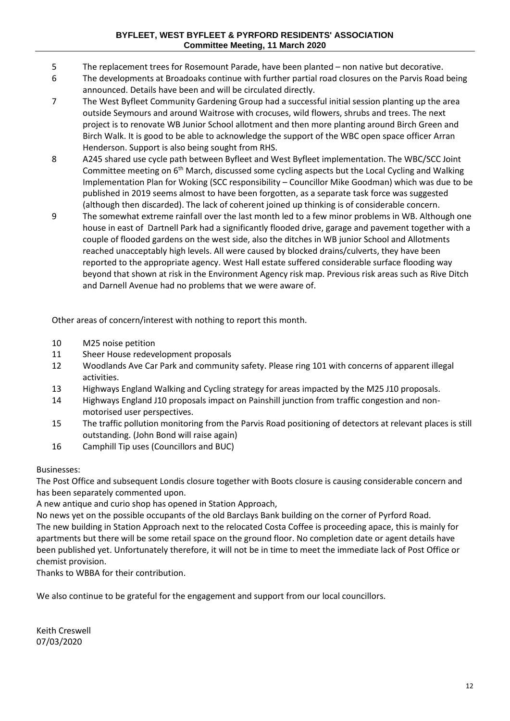- 5 The replacement trees for Rosemount Parade, have been planted non native but decorative.
- 6 The developments at Broadoaks continue with further partial road closures on the Parvis Road being announced. Details have been and will be circulated directly.
- 7 The West Byfleet Community Gardening Group had a successful initial session planting up the area outside Seymours and around Waitrose with crocuses, wild flowers, shrubs and trees. The next project is to renovate WB Junior School allotment and then more planting around Birch Green and Birch Walk. It is good to be able to acknowledge the support of the WBC open space officer Arran Henderson. Support is also being sought from RHS.
- 8 A245 shared use cycle path between Byfleet and West Byfleet implementation. The WBC/SCC Joint Committee meeting on  $6<sup>th</sup>$  March, discussed some cycling aspects but the Local Cycling and Walking Implementation Plan for Woking (SCC responsibility – Councillor Mike Goodman) which was due to be published in 2019 seems almost to have been forgotten, as a separate task force was suggested (although then discarded). The lack of coherent joined up thinking is of considerable concern.
- 9 The somewhat extreme rainfall over the last month led to a few minor problems in WB. Although one house in east of Dartnell Park had a significantly flooded drive, garage and pavement together with a couple of flooded gardens on the west side, also the ditches in WB junior School and Allotments reached unacceptably high levels. All were caused by blocked drains/culverts, they have been reported to the appropriate agency. West Hall estate suffered considerable surface flooding way beyond that shown at risk in the Environment Agency risk map. Previous risk areas such as Rive Ditch and Darnell Avenue had no problems that we were aware of.

Other areas of concern/interest with nothing to report this month.

- 10 M25 noise petition
- 11 Sheer House redevelopment proposals
- 12 Woodlands Ave Car Park and community safety. Please ring 101 with concerns of apparent illegal activities.
- 13 Highways England Walking and Cycling strategy for areas impacted by the M25 J10 proposals.
- 14 Highways England J10 proposals impact on Painshill junction from traffic congestion and nonmotorised user perspectives.
- 15 The traffic pollution monitoring from the Parvis Road positioning of detectors at relevant places is still outstanding. (John Bond will raise again)
- 16 Camphill Tip uses (Councillors and BUC)

# Businesses:

The Post Office and subsequent Londis closure together with Boots closure is causing considerable concern and has been separately commented upon.

A new antique and curio shop has opened in Station Approach,

No news yet on the possible occupants of the old Barclays Bank building on the corner of Pyrford Road. The new building in Station Approach next to the relocated Costa Coffee is proceeding apace, this is mainly for apartments but there will be some retail space on the ground floor. No completion date or agent details have been published yet. Unfortunately therefore, it will not be in time to meet the immediate lack of Post Office or chemist provision.

Thanks to WBBA for their contribution.

We also continue to be grateful for the engagement and support from our local councillors.

Keith Creswell 07/03/2020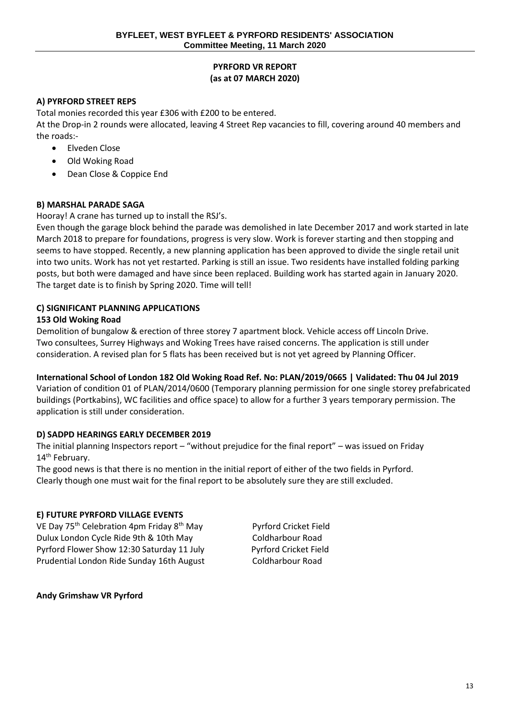# **PYRFORD VR REPORT (as at 07 MARCH 2020)**

# **A) PYRFORD STREET REPS**

Total monies recorded this year £306 with £200 to be entered.

At the Drop-in 2 rounds were allocated, leaving 4 Street Rep vacancies to fill, covering around 40 members and the roads:-

- Elveden Close
- Old Woking Road
- Dean Close & Coppice End

# **B) MARSHAL PARADE SAGA**

Hooray! A crane has turned up to install the RSJ's.

Even though the garage block behind the parade was demolished in late December 2017 and work started in late March 2018 to prepare for foundations, progress is very slow. Work is forever starting and then stopping and seems to have stopped. Recently, a new planning application has been approved to divide the single retail unit into two units. Work has not yet restarted. Parking is still an issue. Two residents have installed folding parking posts, but both were damaged and have since been replaced. Building work has started again in January 2020. The target date is to finish by Spring 2020. Time will tell!

# **C) SIGNIFICANT PLANNING APPLICATIONS**

#### **153 Old Woking Road**

Demolition of bungalow & erection of three storey 7 apartment block. Vehicle access off Lincoln Drive. Two consultees, Surrey Highways and Woking Trees have raised concerns. The application is still under consideration. A revised plan for 5 flats has been received but is not yet agreed by Planning Officer.

# **International School of London 182 Old Woking Road Ref. No: PLAN/2019/0665 | Validated: Thu 04 Jul 2019**

Variation of condition 01 of PLAN/2014/0600 (Temporary planning permission for one single storey prefabricated buildings (Portkabins), WC facilities and office space) to allow for a further 3 years temporary permission. The application is still under consideration.

# **D) SADPD HEARINGS EARLY DECEMBER 2019**

The initial planning Inspectors report – "without prejudice for the final report" – was issued on Friday 14<sup>th</sup> February.

The good news is that there is no mention in the initial report of either of the two fields in Pyrford. Clearly though one must wait for the final report to be absolutely sure they are still excluded.

# **E) FUTURE PYRFORD VILLAGE EVENTS**

VE Day 75<sup>th</sup> Celebration 4pm Friday 8<sup>th</sup> May Pyrford Cricket Field Dulux London Cycle Ride 9th & 10th May Coldharbour Road Pyrford Flower Show 12:30 Saturday 11 July Pyrford Cricket Field Prudential London Ride Sunday 16th August Coldharbour Road

**Andy Grimshaw VR Pyrford**